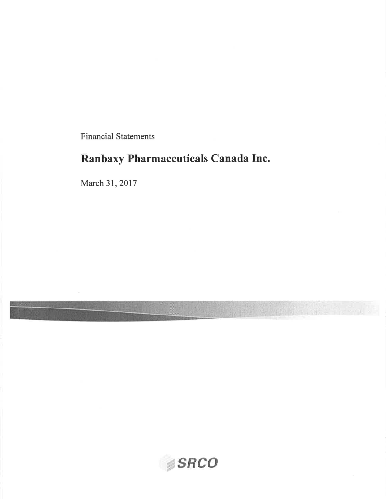Financial Statements

# Ranbaxy Pharmaceuticals Canada Inc.

March 3I, 2017

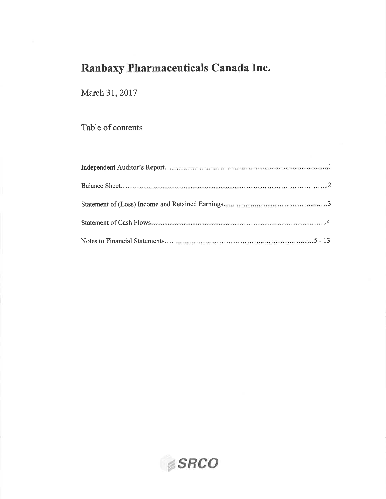March 3I, 2017

Table of contents

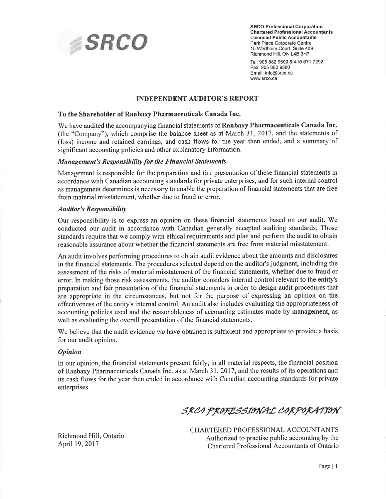

Chartered Professional Accountants Licensed Public Accountants Park Place Corporate Centre 15 Wertheim Court, Suite 409 Richmond Hill, ON L4B 3H7

Tel: 905 882 9500 &416671 7292 Fax: 905 882 9580 Email: info@srco.ca www.srco.ca

#### **INDEPENDENT AUDITOR'S REPORT**

#### To the Shareholder of Ranbaxy Pharmaceuticals Canada Inc.

We have audited the accompanying financial statements of **Ranbaxy Pharmaceuticals Canada Inc.** (the "Company"), which comprise the balance sheet as at March 31, 2017, and the statements of (loss) income and retained earnings, and cash flows for the year then ended, and a summary of significant accounting policies and other explanatory information.

#### Management's Responsibility for the Financial Statements

Management is responsible for the preparation and fair presentation of these financial statements in accordance with Canadian accounting standards for private enterprises, and for such internal control as management determines is necessary to enable the preparation of financial statements that are free from material misstatement, whether due to fraud or error.

#### **Auditor's Responsibility**

Our responsibility is to express an opinion on these financial statements based on our audit. We conducted our audit in accordance with Canadian generally accepted auditing standards. Those standards require that we comply with ethical requirements and plan and perform the audit to obtain reasonable assurance about whether the financial statements are free from material misstatement.

An audit involves performing procedures to obtain audit evidence about the amounts and disclosures in the financial statements. The procedures selected depend on the auditor's judgment, including the assessment of the risks of material misstatement of the financial statements, whether due to fraud or error. In making those risk assessments, the auditor considers internal control relevant to the entity's preparation and fair presentation of the financial statements in order to design audit procedures that are appropriate in the circumstances, but not for the purpose of expressing an opinion on the effectiveness of the entity's internal control. An audit also includes evaluating the appropriateness of accounting policies used and the reasonableness of accounting estimates made by management, as well as evaluating the overall presentation of the financial statements.

We believe that the audit evidence we have obtained is sufficient and appropriate to provide a basis for our audit opinion.

#### **Opinion**

In our opinion, the financial statements present fairly, in all material respects, the financial position of Ranbaxy Pharmaceuticals Canada Inc. as at March 31,2017, and the results of its operations and its cash flows for the year then ended in accordance with Canadian accounting standards for private enterprises.

## SRCO PROFESSIONAL CORPORATION

CHARTERED PROFESSIONAL ACCOUNTANTS Authorized to practise public accounting by the Chartered Professional Accountants of Ontario

Richmond Hill, Ontario April 19, 2017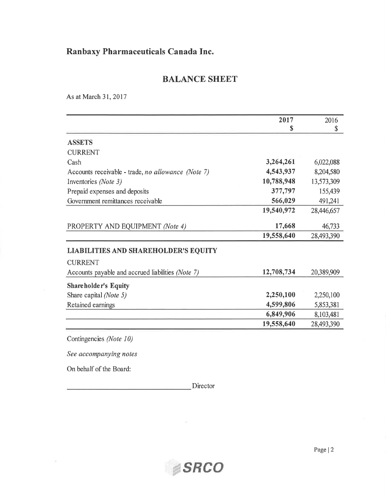## BALANCE SHEET

As at March 31,2017

|                                                    | 2017       | 2016       |
|----------------------------------------------------|------------|------------|
|                                                    | S          | S          |
| <b>ASSETS</b>                                      |            |            |
| <b>CURRENT</b>                                     |            |            |
| Cash                                               | 3,264,261  | 6,022,088  |
| Accounts receivable - trade, no allowance (Note 7) | 4,543,937  | 8,204,580  |
| Inventories (Note 3)                               | 10,788,948 | 13,573,309 |
| Prepaid expenses and deposits                      | 377,797    | 155,439    |
| Government remittances receivable                  | 566,029    | 491,241    |
|                                                    | 19,540,972 | 28,446,657 |
| PROPERTY AND EQUIPMENT (Note 4)                    | 17,668     | 46,733     |
|                                                    | 19,558,640 | 28,493,390 |
| <b>LIABILITIES AND SHAREHOLDER'S EQUITY</b>        |            |            |
| <b>CURRENT</b>                                     |            |            |
| Accounts payable and accrued liabilities (Note 7)  | 12,708,734 | 20,389,909 |
| Shareholder's Equity                               |            |            |
| Share capital (Note 5)                             | 2,250,100  | 2,250,100  |
| Retained earnings                                  | 4,599,806  | 5,853,381  |
|                                                    | 6,849,906  | 8,103,481  |
|                                                    | 19,558,640 | 28,493,390 |

See accompanying notes

On behalf of the Board:

 $\sim 10^{-1}$ 

Director

'MsRco

 $\sim 10^{-11}$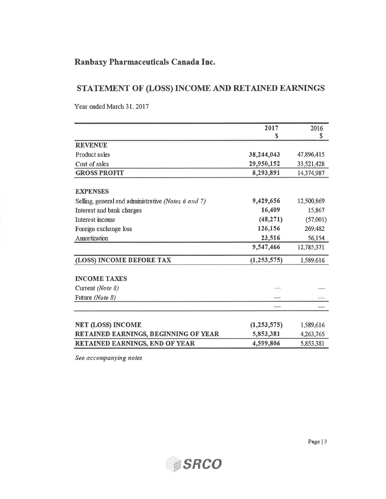## STATEMENT OF (LOSS) INCOME AND RETAINED EARNINGS

Year ended March 31, 2017

|                                                     | 2017           | 2016       |
|-----------------------------------------------------|----------------|------------|
|                                                     | S              | \$         |
| <b>REVENUE</b>                                      |                |            |
| Product sales                                       | 38,244,043     | 47,896,415 |
| Cost of sales                                       | 29,950,152     | 33,521,428 |
| <b>GROSS PROFIT</b>                                 | 8,293,891      | 14,374,987 |
|                                                     |                |            |
| <b>EXPENSES</b>                                     |                |            |
| Selling, general and administrative (Notes 6 and 7) | 9,429,656      | 12,500,869 |
| Interest and bank charges                           | 16,409         | 15,867     |
| Interest income                                     | (48, 271)      | (57,001)   |
| Foreign exchange loss                               | 126,156        | 269,482    |
| Amortization                                        | 23,516         | 56,154     |
|                                                     | 9,547,466      | 12,785,371 |
| (LOSS) INCOME BEFORE TAX                            | (1,253,575)    | 1,589.616  |
| <b>INCOME TAXES</b>                                 |                |            |
| Current (Note 8)                                    | $\overline{a}$ |            |
| Future (Note 8)                                     |                |            |
|                                                     |                |            |
| <b>NET (LOSS) INCOME</b>                            | (1, 253, 575)  | 1,589,616  |
| RETAINED EARNINGS, BEGINNING OF YEAR                | 5,853,381      | 4,263,765  |
| <b>RETAINED EARNINGS. END OF YEAR</b>               | 4,599,806      | 5.853.381  |

See accompanying notes

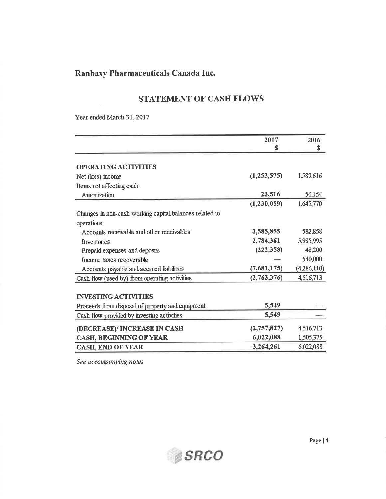## **STATEMENT OF CASH FLOWS**

Year ended March 31, 2017

|                                                         | 2017          | 2016        |
|---------------------------------------------------------|---------------|-------------|
|                                                         | S             | \$          |
|                                                         |               |             |
| <b>OPERATING ACTIVITIES</b>                             |               |             |
| Net (loss) income                                       | (1,253,575)   | 1.589,616   |
| Items not affecting cash:                               |               |             |
| Amortization                                            | 23,516        | 56,154      |
|                                                         | (1, 230, 059) | 1,645,770   |
| Changes in non-cash working capital balances related to |               |             |
| operations:                                             |               |             |
| Accounts receivable and other receivables               | 3,585,855     | 582,858     |
| <b>Inventories</b>                                      | 2,784,361     | 5,985,995   |
| Prepaid expenses and deposits                           | (222, 358)    | 48,200      |
| Income taxes recoverable                                |               | 540,000     |
| Accounts payable and accrued liabilities                | (7,681,175)   | (4,286,110) |
| Cash flow (used by) from operating activities           | (2,763,376)   | 4,516,713   |
|                                                         |               |             |
| <b>INVESTING ACTIVITIES</b>                             |               |             |
| Proceeds from disposal of property and equipment        | 5,549         |             |
| Cash flow provided by investing activities              | 5,549         |             |
|                                                         | (2,757,827)   | 4,516,713   |
| (DECREASE)/ INCREASE IN CASH                            | 6,022,088     | 1,505,375   |
| CASH, BEGINNING OF YEAR                                 |               |             |
| <b>CASH, END OF YEAR</b>                                | 3,264,261     | 6,022,088   |

See accompanying notes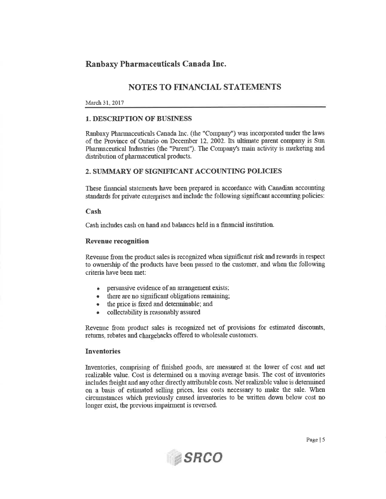## **NOTES TO FINANCIAL STATEMENTS**

#### March 31, 2017

#### **1. DESCRIPTION OF BUSINESS**

Ranbaxy Pharmaceuticals Canada Inc. (the "Company") was incorporated under the laws of the Province of Ontario on December 12, 2002. Its ultimate parent company is Sun Pharmaceutical Industries (the "Parent"). The Company's main activity is marketing and distribution of pharmaceutical products.

#### 2. SUMMARY OF SIGNIFICANT ACCOUNTING POLICIES

These financial statements have been prepared in accordance with Canadian accounting standards for private enterprises and include the following significant accounting policies:

#### Cash

Cash includes cash on hand and balances held in a financial institution.

#### **Revenue recognition**

Revenue from the product sales is recognized when significant risk and rewards in respect to ownership of the products have been passed to the customer, and when the following criteria have been met:

- persuasive evidence of an arrangement exists;
- there are no significant obligations remaining;
- the price is fixed and determinable; and
- collectability is reasonably assured

Revenue from product sales is recognized net of provisions for estimated discounts, returns, rebates and chargebacks offered to wholesale customers.

#### **Inventories**

Inventories, comprising of finished goods, are measured at the lower of cost and net realizable value. Cost is determined on a moving average basis. The cost of inventories includes freight and any other directly attributable costs. Net realizable value is determined on a basis of estimated selling prices, less costs necessary to make the sale. When circumstances which previously caused inventories to be written down below cost no longer exist, the previous impairment is reversed.

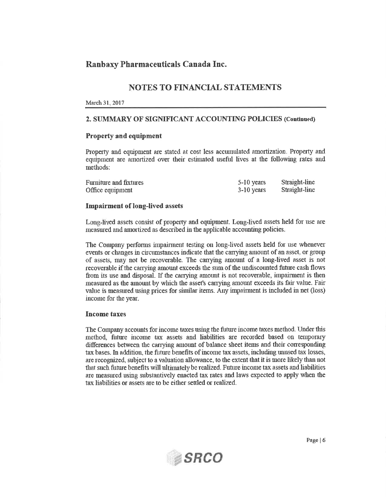## **NOTES TO FINANCIAL STATEMENTS**

#### March 31, 2017

#### 2. SUMMARY OF SIGNIFICANT ACCOUNTING POLICIES (Continued)

#### **Property and equipment**

Property and equipment are stated at cost less accumulated amortization. Property and equipment are amortized over their estimated useful lives at the following rates and methods:

| Furniture and fixtures | 5-10 years   | Straight-line |
|------------------------|--------------|---------------|
| Office equipment       | $3-10$ years | Straight-line |

#### **Impairment of long-lived assets**

Long-lived assets consist of property and equipment. Long-lived assets held for use are measured and amortized as described in the applicable accounting policies.

The Company performs impairment testing on long-lived assets held for use whenever events or changes in circumstances indicate that the carrying amount of an asset, or group of assets, may not be recoverable. The carrying amount of a long-lived asset is not recoverable if the carrying amount exceeds the sum of the undiscounted future cash flows from its use and disposal. If the carrying amount is not recoverable, impairment is then measured as the amount by which the asset's carrying amount exceeds its fair value. Fair value is measured using prices for similar items. Any impairment is included in net (loss) income for the year.

#### **Income taxes**

The Company accounts for income taxes using the future income taxes method. Under this method, future income tax assets and liabilities are recorded based on temporary differences between the carrying amount of balance sheet items and their corresponding tax bases. In addition, the future benefits of income tax assets, including unused tax losses, are recognized, subject to a valuation allowance, to the extent that it is more likely than not that such future benefits will ultimately be realized. Future income tax assets and liabilities are measured using substantively enacted tax rates and laws expected to apply when the tax liabilities or assets are to be either settled or realized.

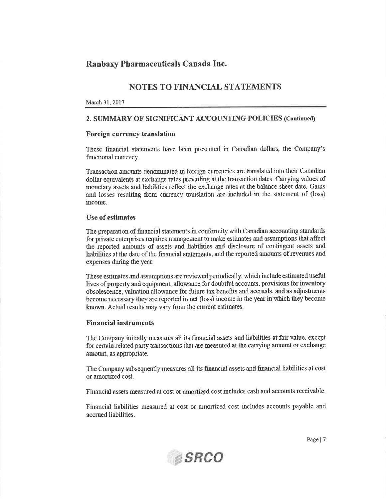## **NOTES TO FINANCIAL STATEMENTS**

#### March 31, 2017

#### 2. SUMMARY OF SIGNIFICANT ACCOUNTING POLICIES (Continued)

#### Foreign currency translation

These financial statements have been presented in Canadian dollars, the Company's functional currency.

Transaction amounts denominated in foreign currencies are translated into their Canadian dollar equivalents at exchange rates prevailing at the transaction dates. Carrying values of monetary assets and liabilities reflect the exchange rates at the balance sheet date. Gains and losses resulting from currency translation are included in the statement of (loss) income.

#### **Use of estimates**

The preparation of financial statements in conformity with Canadian accounting standards for private enterprises requires management to make estimates and assumptions that affect the reported amounts of assets and liabilities and disclosure of contingent assets and liabilities at the date of the financial statements, and the reported amounts of revenues and expenses during the year.

These estimates and assumptions are reviewed periodically, which include estimated useful lives of property and equipment, allowance for doubtful accounts, provisions for inventory obsolescence, valuation allowance for future tax benefits and accruals, and as adjustments become necessary they are reported in net (loss) income in the year in which they become known. Actual results may vary from the current estimates.

#### **Financial instruments**

The Company initially measures all its financial assets and liabilities at fair value, except for certain related party transactions that are measured at the carrying amount or exchange amount, as appropriate.

The Company subsequently measures all its financial assets and financial liabilities at cost or amortized cost.

Financial assets measured at cost or amortized cost includes cash and accounts receivable.

Financial liabilities measured at cost or amortized cost includes accounts payable and accrued liabilities.

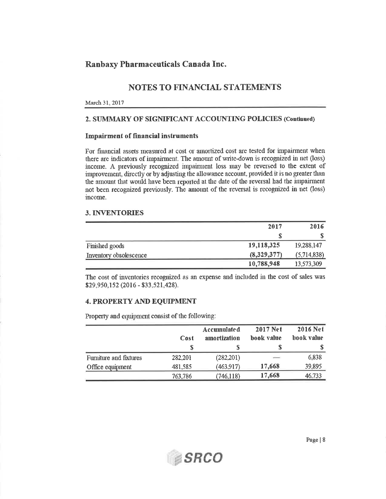## **NOTES TO FINANCIAL STATEMENTS**

#### March 31, 2017

#### 2. SUMMARY OF SIGNIFICANT ACCOUNTING POLICIES (Continued)

#### **Impairment of financial instruments**

For financial assets measured at cost or amortized cost are tested for impairment when there are indicators of impairment. The amount of write-down is recognized in net (loss) income. A previously recognized impairment loss may be reversed to the extent of improvement, directly or by adjusting the allowance account, provided it is no greater than the amount that would have been reported at the date of the reversal had the impairment not been recognized previously. The amount of the reversal is recognized in net (loss) income.

#### **3. INVENTORIES**

|                        | 2017        | 2016        |
|------------------------|-------------|-------------|
|                        |             |             |
| Finished goods         | 19,118,325  | 19,288,147  |
| Inventory obsolescence | (8,329,377) | (5,714,838) |
|                        | 10,788,948  | 13,573,309  |

The cost of inventories recognized as an expense and included in the cost of sales was \$29,950,152 (2016 - \$33,521,428).

#### **4. PROPERTY AND EQUIPMENT**

Property and equipment consist of the following:

|                        | Cost    | <b>Accumulated</b><br>amortization | <b>2017 Net</b><br>book value | <b>2016 Net</b><br>book value |
|------------------------|---------|------------------------------------|-------------------------------|-------------------------------|
|                        |         |                                    |                               |                               |
| Furniture and fixtures | 282,201 | (282,201)                          | $-$                           | 6,838                         |
| Office equipment       | 481,585 | (463.917)                          | 17,668                        | 39,895                        |
|                        | 763,786 | (746, 118)                         | 17,668                        | 46,733                        |

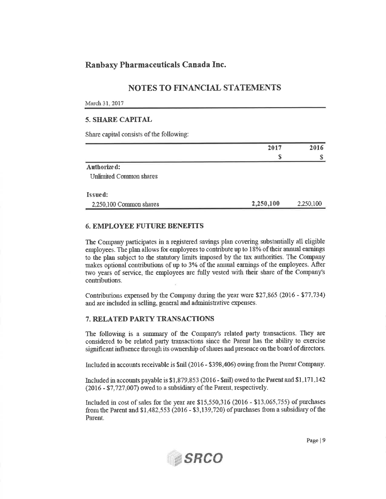## **NOTES TO FINANCIAL STATEMENTS**

#### March 31, 2017

#### **5. SHARE CAPITAL**

Share capital consists of the following:

| 2017      | 2016      |
|-----------|-----------|
|           |           |
|           |           |
|           |           |
|           |           |
| 2,250,100 | 2,250,100 |
|           |           |

#### **6. EMPLOYEE FUTURE BENEFITS**

The Company participates in a registered savings plan covering substantially all eligible employees. The plan allows for employees to contribute up to 18% of their annual earnings to the plan subject to the statutory limits imposed by the tax authorities. The Company makes optional contributions of up to 3% of the annual earnings of the employees. After two years of service, the employees are fully vested with their share of the Company's contributions.

Contributions expensed by the Company during the year were \$27,865 (2016 - \$77,734) and are included in selling, general and administrative expenses.

#### 7. RELATED PARTY TRANSACTIONS

The following is a summary of the Company's related party transactions. They are considered to be related party transactions since the Parent has the ability to exercise significant influence through its ownership of shares and presence on the board of directors.

Included in accounts receivable is \$nil (2016 - \$398,406) owing from the Parent Company.

Included in accounts payable is \$1,879,853 (2016 - \$nil) owed to the Parent and \$1,171,142 (2016 - \$7,727,007) owed to a subsidiary of the Parent, respectively.

Included in cost of sales for the year are \$15,550,316 (2016 - \$13,065,755) of purchases from the Parent and  $$1,482,553$  (2016 -  $$3,139,720$ ) of purchases from a subsidiary of the Parent.



Page | 9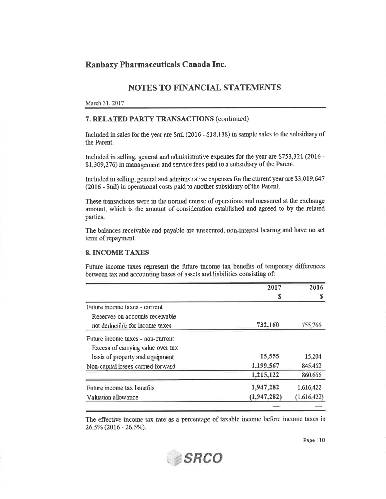## **NOTES TO FINANCIAL STATEMENTS**

#### March 31, 2017

#### 7. RELATED PARTY TRANSACTIONS (continued)

Included in sales for the year are \$nil (2016 - \$18,138) in sample sales to the subsidiary of the Parent.

Included in selling, general and administrative expenses for the year are \$753,321 (2016 -\$1,309,276) in management and service fees paid to a subsidiary of the Parent.

Included in selling, general and administrative expenses for the current year are \$3,019,647 (2016 - \$nil) in operational costs paid to another subsidiary of the Parent.

These transactions were in the normal course of operations and measured at the exchange amount, which is the amount of consideration established and agreed to by the related parties.

The balances receivable and payable are unsecured, non-interest bearing and have no set term of repayment.

#### **8. INCOME TAXES**

Future income taxes represent the future income tax benefits of temporary differences between tax and accounting bases of assets and liabilities consisting of:

|                                    | 2017          | 2016        |  |
|------------------------------------|---------------|-------------|--|
|                                    | \$            |             |  |
| Future income taxes - current      |               |             |  |
| Reserves on accounts receivable    |               |             |  |
| not deductible for income taxes    | 732,160       | 755,766     |  |
| Future income taxes - non-current  |               |             |  |
| Excess of carrying value over tax  |               |             |  |
| basis of property and equipment    | 15,555        | 15,204      |  |
| Non-capital losses carried forward | 1,199,567     | 845,452     |  |
|                                    | 1,215,122     | 860,656     |  |
| Future income tax benefits         | 1,947,282     | 1,616,422   |  |
| Valuation allowance                | (1, 947, 282) | (1,616,422) |  |
|                                    |               |             |  |

The effective income tax rate as a percentage of taxable income before income taxes is 26.5% (2016 - 26.5%).



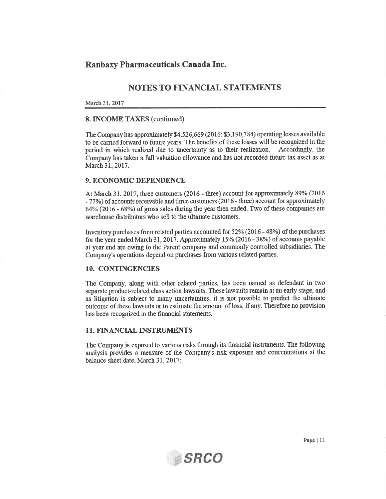## **NOTES TO FINANCIAL STATEMENTS**

#### March 31, 2017

#### **8. INCOME TAXES (continued)**

The Company has approximately \$4,526,669 (2016: \$3,190,384) operating losses available to be carried forward to future years. The benefits of these losses will be recognized in the period in which realized due to uncertainty as to their realization. Accordingly, the Company has taken a full valuation allowance and has not recorded future tax asset as at March 31, 2017.

#### 9. ECONOMIC DEPENDENCE

At March 31, 2017, three customers (2016 - three) account for approximately 89% (2016 - 77%) of accounts receivable and three customers (2016 - three) account for approximately 64% (2016 - 68%) of gross sales during the year then ended. Two of these companies are warehouse distributors who sell to the ultimate customers.

Inventory purchases from related parties accounted for 52% (2016 - 48%) of the purchases for the year ended March 31, 2017. Approximately 15% (2016 - 38%) of accounts payable at year end are owing to the Parent company and commonly controlled subsidiaries. The Company's operations depend on purchases from various related parties.

#### 10. CONTINGENCIES

The Company, along with other related parties, has been named as defendant in two separate product-related class action lawsuits. These lawsuits remain at an early stage, and as litigation is subject to many uncertainties, it is not possible to predict the ultimate outcome of these lawsuits or to estimate the amount of loss, if any. Therefore no provision has been recognized in the financial statements.

#### **11. FINANCIAL INSTRUMENTS**

The Company is exposed to various risks through its financial instruments. The following analysis provides a measure of the Company's risk exposure and concentrations at the balance sheet date, March 31, 2017:

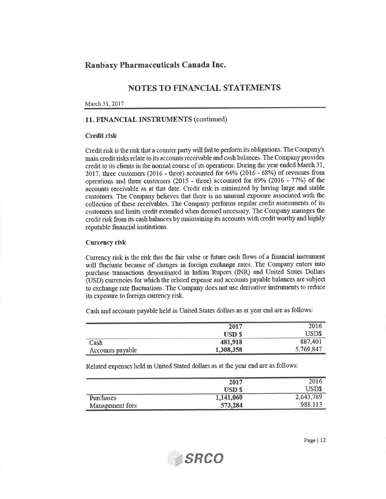## NOTES TO FINANCIAL STATEMENTS

#### March 31, 2017

#### 11. FINANCIAL INSTRUMENTS (continued)

#### **Credit risk**

Credit risk is the risk that a counter party will fail to perform its obligations. The Company's main credit risks relate to its accounts receivable and cash balances. The Company provides credit to its clients in the normal course of its operations. During the year ended March 31, 2017, three customers (2016 - three) accounted for 64% (2016 - 68%) of revenues from operations and three customers (2015 - three) accounted for 89% (2016 - 77%) of the accounts receivable as at that date. Credit risk is minimized by having large and stable customers. The Company believes that there is no unusual exposure associated with the collection of these receivables. The Company performs regular credit assessments of its customers and limits credit extended when deemed necessary. The Company manages the credit risk from its cash balances by maintaining its accounts with credit worthy and highly reputable financial institutions.

#### **Currency risk**

Currency risk is the risk that the fair value or future cash flows of a financial instrument will fluctuate because of changes in foreign exchange rates. The Company enters into purchase transactions denominated in Indian Rupees (INR) and United States Dollars (USD) currencies for which the related expense and accounts payable balances are subject to exchange rate fluctuations. The Company does not use derivative instruments to reduce its exposure to foreign currency risk.

Cash and accounts payable held in United States dollars as at year end are as follows:

|                  | 2017          | 2016      |
|------------------|---------------|-----------|
|                  | <b>USD \$</b> | USD\$     |
| Cash             | 481,918       | 887,401   |
| Accounts payable | 1,308,358     | 5,769,847 |

Related expenses held in United Stated dollars as at the year end are as follows:

**SRCO** 

|                  | 2017         | 2016      |
|------------------|--------------|-----------|
|                  | <b>USD S</b> | USD\$     |
| <b>Purchases</b> | 1,141,060    | 2,643,789 |
| Management fees  | 573,284      | 988,113   |

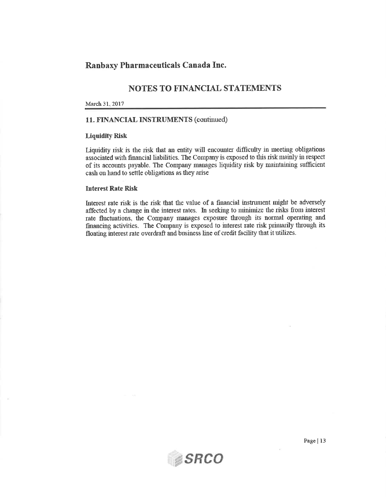## **NOTES TO FINANCIAL STATEMENTS**

#### March 31, 2017

## 11. FINANCIAL INSTRUMENTS (continued)

#### **Liquidity Risk**

Liquidity risk is the risk that an entity will encounter difficulty in meeting obligations associated with financial liabilities. The Company is exposed to this risk mainly in respect of its accounts payable. The Company manages liquidity risk by maintaining sufficient cash on hand to settle obligations as they arise

#### **Interest Rate Risk**

Interest rate risk is the risk that the value of a financial instrument might be adversely affected by a change in the interest rates. In seeking to minimize the risks from interest rate fluctuations, the Company manages exposure through its normal operating and financing activities. The Company is exposed to interest rate risk primarily through its floating interest rate overdraft and business line of credit facility that it utilizes.